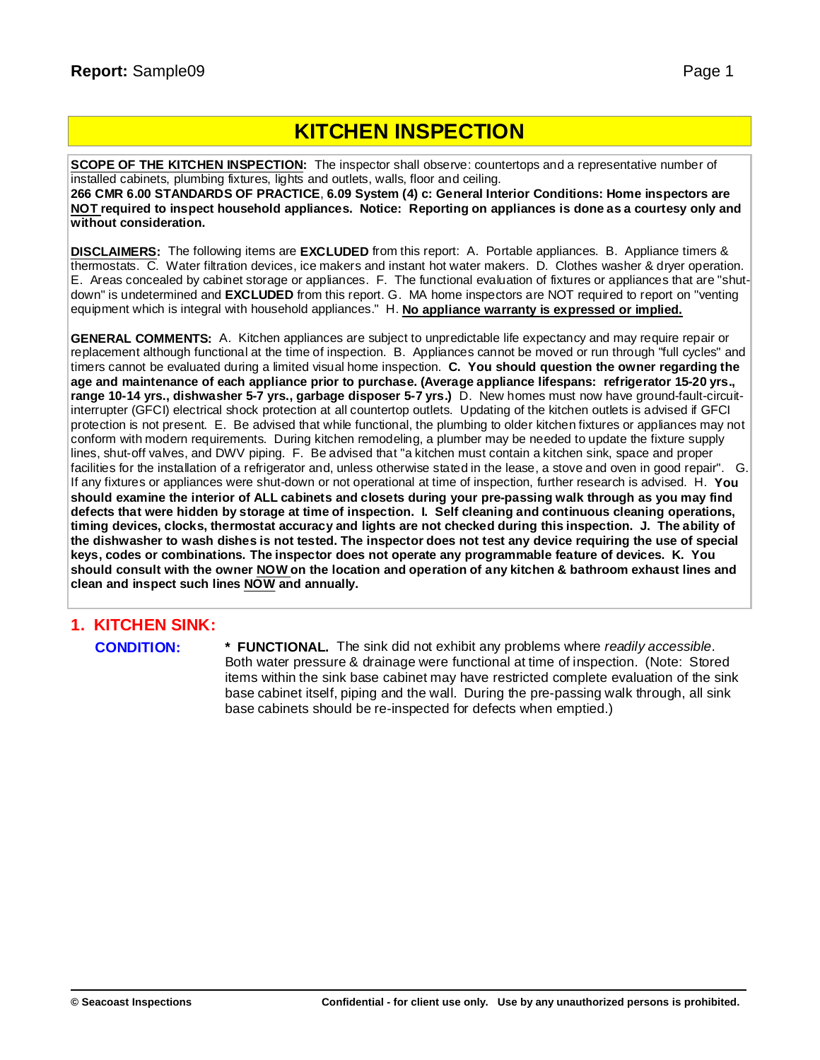# **KITCHEN INSPECTION**

**SCOPE OF THE KITCHEN INSPECTION:** The inspector shall observe: countertops and a representative number of installed cabinets, plumbing fixtures, lights and outlets, walls, floor and ceiling.

**266 CMR 6.00 STANDARDS OF PRACTICE**, **6.09 System (4) c: General Interior Conditions: Home inspectors are** NOT required to inspect household appliances. Notice: Reporting on appliances is done as a courtesy only and **without consideration.**

**DISCLAIMERS:** The following items are **EXCLUDED** from this report: A. Portable appliances. B. Appliance timers & thermostats. C. Water filtration devices, ice makers and instant hot water makers. D. Clothes washer & dryer operation. E. Areas concealed by cabinet storage or appliances. F. The functional evaluation of fixtures or appliances that are "shutdown" is undetermined and **EXCLUDED** from this report. G. MA home inspectors are NOT required to report on "venting equipment which is integral with household appliances." H. **No appliance warranty is expressed or implied.**

**GENERAL COMMENTS:** A. Kitchen appliances are subject to unpredictable life expectancy and may require repair or replacement although functional at the time of inspection. B. Appliances cannot be moved or run through "full cycles" and timers cannot be evaluated during a limited visual home inspection. **C. You should question the owner regarding the age and maintenance of each appliance prior to purchase. (Average appliance lifespans: refrigerator 15-20 yrs., range 10-14 yrs., dishwasher 5-7 yrs., garbage disposer 5-7 yrs.)** D. New homes must now have ground-fault-circuitinterrupter (GFCI) electrical shock protection at all countertop outlets. Updating of the kitchen outlets is advised if GFCI protection is not present. E. Be advised that while functional, the plumbing to older kitchen fixtures or appliances may not conform with modern requirements. During kitchen remodeling, a plumber may be needed to update the fixture supply lines, shut-off valves, and DWV piping. F. Be advised that "a kitchen must contain a kitchen sink, space and proper facilities for the installation of a refrigerator and, unless otherwise stated in the lease, a stove and oven in good repair". G. If any fixtures or appliances were shut-down or not operational at time of inspection, further research is advised. H. **You** should examine the interior of ALL cabinets and closets during your pre-passing walk through as you may find defects that were hidden by storage at time of inspection. I. Self cleaning and continuous cleaning operations, timing devices, clocks, thermostat accuracy and lights are not checked during this inspection. J. The ability of the dishwasher to wash dishes is not tested. The inspector does not test any device requiring the use of special **keys, codes or combinations. The inspector does not operate any programmable feature of devices. K. You** should consult with the owner NOW on the location and operation of any kitchen & bathroom exhaust lines and **clean and inspect such lines NOW and annually.**

# **1. KITCHEN SINK:**

**CONDITION: \* FUNCTIONAL.** The sink did not exhibit any problems where *readily accessible*. Both water pressure & drainage were functional at time of inspection. (Note: Stored items within the sink base cabinet may have restricted complete evaluation of the sink base cabinet itself, piping and the wall. During the pre-passing walk through, all sink base cabinets should be re-inspected for defects when emptied.)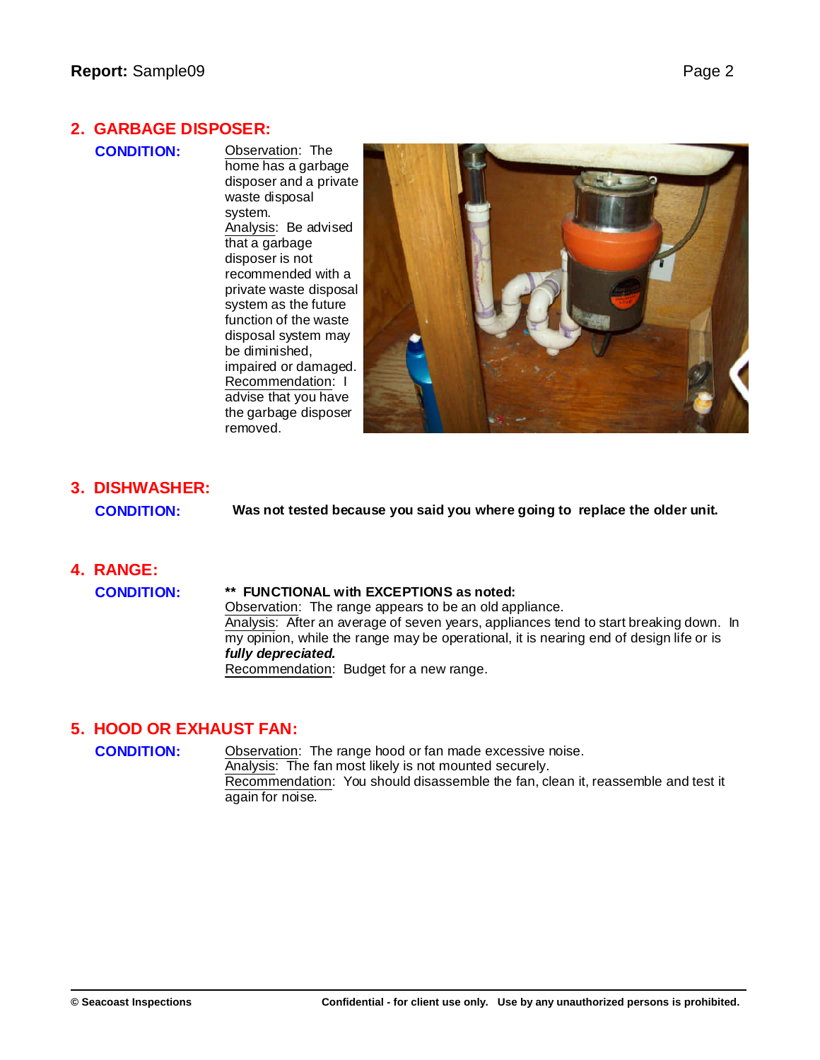#### **2. GARBAGE DISPOSER:**

**CONDITION:** Observation: The home has a garbage disposer and a private waste disposal system. Analysis: Be advised that a garbage disposer is not recommended with a private waste disposal system as the future function of the waste disposal system may be diminished, impaired or damaged. Recommendation: I advise that you have the garbage disposer removed.



# **3. DISHWASHER:**

**CONDITION: Was not tested because you said you where going to replace the older unit.**

# **4. RANGE:**

**CONDITION: \*\* FUNCTIONAL with EXCEPTIONS as noted:**

Observation: The range appears to be an old appliance. Analysis: After an average of seven years, appliances tend to start breaking down. In my opinion, while the range may be operational, it is nearing end of design life or is *fully depreciated.* Recommendation: Budget for a new range.

### **5. HOOD OR EXHAUST FAN:**

**CONDITION:** Observation: The range hood or fan made excessive noise. Analysis: The fan most likely is not mounted securely. Recommendation: You should disassemble the fan, clean it, reassemble and test it again for noise.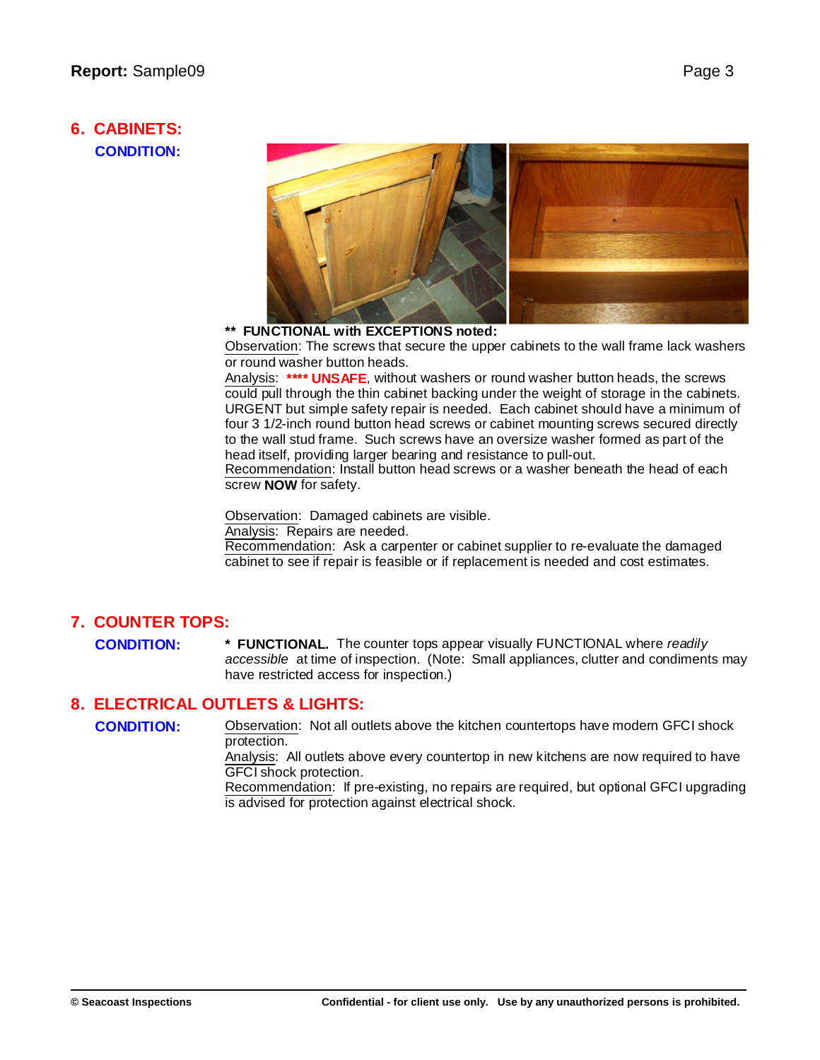#### **6. CABINETS: CONDITION:**



#### **\*\* FUNCTIONAL with EXCEPTIONS noted:**

Observation: The screws that secure the upper cabinets to the wall frame lack washers or round washer button heads.

Analysis: **\*\*\*\* UNSAFE**, without washers or round washer button heads, the screws could pull through the thin cabinet backing under the weight of storage in the cabinets. URGENT but simple safety repair is needed. Each cabinet should have a minimum of four 3 1/2-inch round button head screws or cabinet mounting screws secured directly to the wall stud frame. Such screws have an oversize washer formed as part of the head itself, providing larger bearing and resistance to pull-out.

Recommendation: Install button head screws or a washer beneath the head of each screw **NOW** for safety.

Observation: Damaged cabinets are visible.

Analysis: Repairs are needed.

Recommendation: Ask a carpenter or cabinet supplier to re-evaluate the damaged cabinet to see if repair is feasible or if replacement is needed and cost estimates.

#### **7. COUNTER TOPS:**

**CONDITION: \* FUNCTIONAL.** The counter tops appear visually FUNCTIONAL where *readily accessible* at time of inspection. (Note: Small appliances, clutter and condiments may have restricted access for inspection.)

#### **8. ELECTRICAL OUTLETS & LIGHTS:**

**CONDITION:** Observation: Not all outlets above the kitchen countertops have modern GFCI shock protection.

> Analysis: All outlets above every countertop in new kitchens are now required to have GFCI shock protection.

> Recommendation: If pre-existing, no repairs are required, but optional GFCI upgrading is advised for protection against electrical shock.